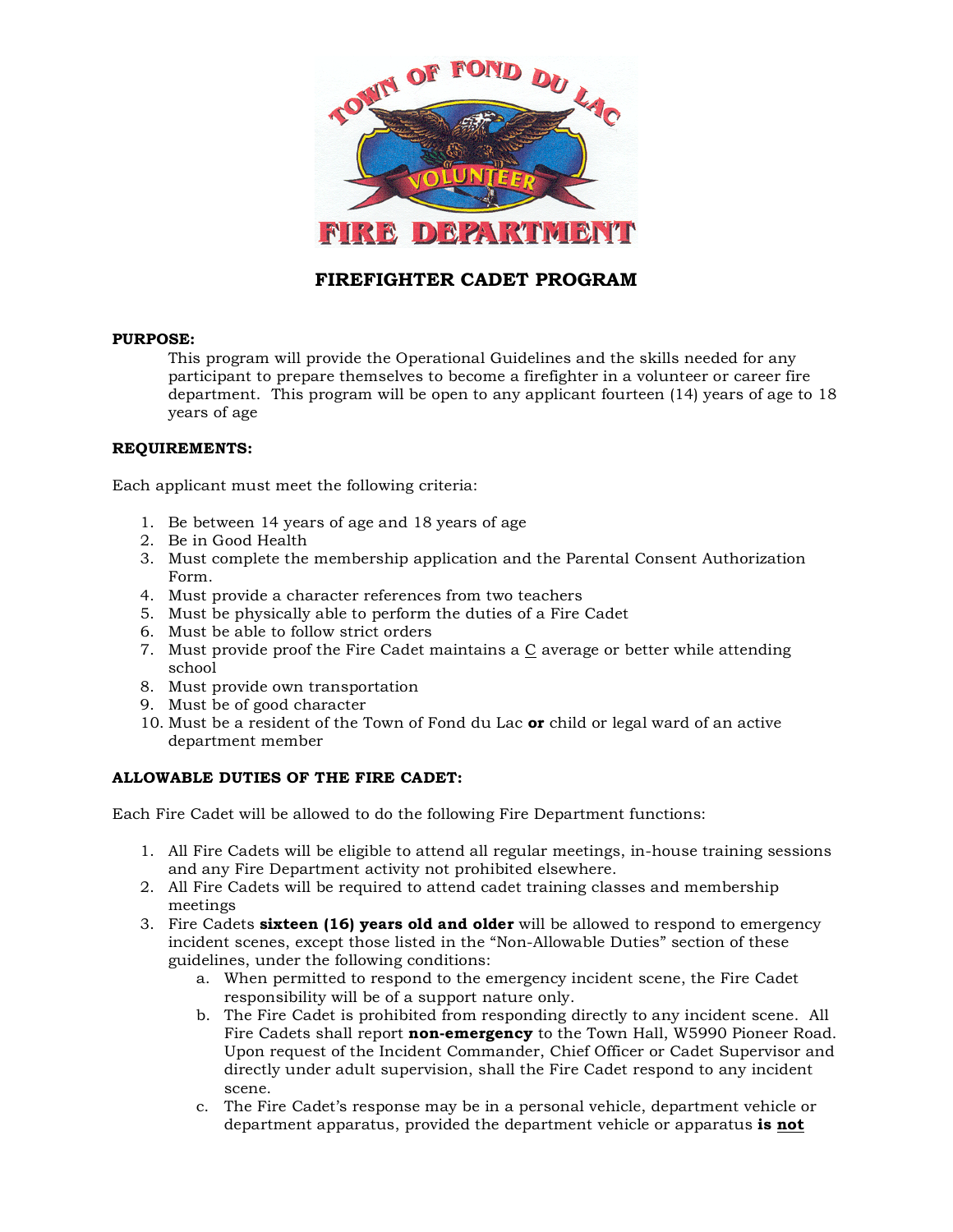

# **FIREFIGHTER CADET PROGRAM**

#### **PURPOSE:**

This program will provide the Operational Guidelines and the skills needed for any participant to prepare themselves to become a firefighter in a volunteer or career fire department. This program will be open to any applicant fourteen (14) years of age to 18 years of age

#### **REQUIREMENTS:**

Each applicant must meet the following criteria:

- 1. Be between 14 years of age and 18 years of age
- 2. Be in Good Health
- 3. Must complete the membership application and the Parental Consent Authorization Form.
- 4. Must provide a character references from two teachers
- 5. Must be physically able to perform the duties of a Fire Cadet
- 6. Must be able to follow strict orders
- 7. Must provide proof the Fire Cadet maintains a C average or better while attending school
- 8. Must provide own transportation
- 9. Must be of good character
- 10. Must be a resident of the Town of Fond du Lac **or** child or legal ward of an active department member

#### **ALLOWABLE DUTIES OF THE FIRE CADET:**

Each Fire Cadet will be allowed to do the following Fire Department functions:

- 1. All Fire Cadets will be eligible to attend all regular meetings, in-house training sessions and any Fire Department activity not prohibited elsewhere.
- 2. All Fire Cadets will be required to attend cadet training classes and membership meetings
- 3. Fire Cadets **sixteen (16) years old and older** will be allowed to respond to emergency incident scenes, except those listed in the "Non-Allowable Duties" section of these guidelines, under the following conditions:
	- a. When permitted to respond to the emergency incident scene, the Fire Cadet responsibility will be of a support nature only.
	- b. The Fire Cadet is prohibited from responding directly to any incident scene. All Fire Cadets shall report **non-emergency** to the Town Hall, W5990 Pioneer Road. Upon request of the Incident Commander, Chief Officer or Cadet Supervisor and directly under adult supervision, shall the Fire Cadet respond to any incident scene.
	- c. The Fire Cadet's response may be in a personal vehicle, department vehicle or department apparatus, provided the department vehicle or apparatus **is not**